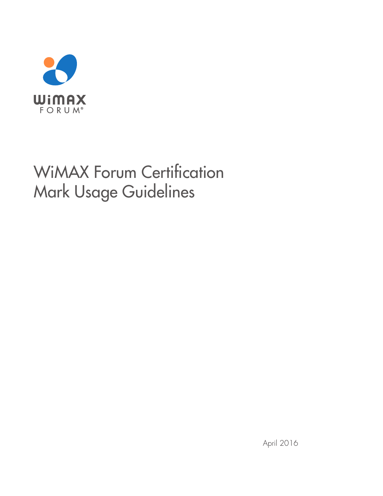

# WiMAX Forum Certification Mark Usage Guidelines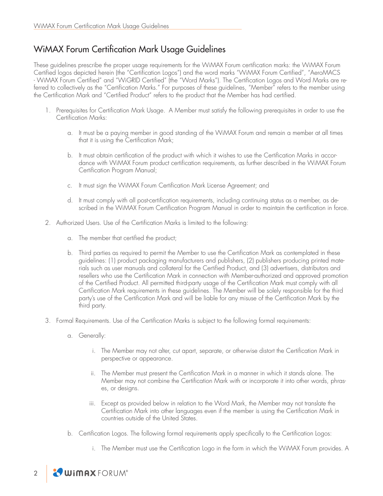# WiMAX Forum Certification Mark Usage Guidelines

These guidelines prescribe the proper usage requirements for the WiMAX Forum certification marks: the WiMAX Forum Certified logos depicted herein (the "Certification Logos") and the word marks "WiMAX Forum Certified", "AeroMACS - WiMAX Forum Certified" and "WiGRID Certified" (the "Word Marks"). The Certification Logos and Word Marks are referred to collectively as the "Certification Marks." For purposes of these guidelines, "Member" refers to the member using the Certification Mark and "Certified Product" refers to the product that the Member has had certified.

- 1. Prerequisites for Certification Mark Usage. A Member must satisfy the following prerequisites in order to use the Certification Marks:
	- a. It must be a paying member in good standing of the WiMAX Forum and remain a member at all times that it is using the Certification Mark;
	- b. It must obtain certification of the product with which it wishes to use the Certification Marks in accordance with WiMAX Forum product certification requirements, as further described in the WiMAX Forum Certification Program Manual;
	- c. It must sign the WiMAX Forum Certification Mark License Agreement; and
	- d. It must comply with all post-certification requirements, including continuing status as a member, as described in the WiMAX Forum Certification Program Manual in order to maintain the certification in force.
- 2. Authorized Users. Use of the Certification Marks is limited to the following:
	- a. The member that certified the product;
	- b. Third parties as required to permit the Member to use the Certification Mark as contemplated in these guidelines: (1) product packaging manufacturers and publishers, (2) publishers producing printed materials such as user manuals and collateral for the Certified Product, and (3) advertisers, distributors and resellers who use the Certification Mark in connection with Member-authorized and approved promotion of the Certified Product. All permitted third-party usage of the Certification Mark must comply with all Certification Mark requirements in these guidelines. The Member will be solely responsible for the third party's use of the Certification Mark and will be liable for any misuse of the Certification Mark by the third party.
- 3. Formal Requirements. Use of the Certification Marks is subject to the following formal requirements:
	- a. Generally:
		- i. The Member may not alter, cut apart, separate, or otherwise distort the Certification Mark in perspective or appearance.
		- ii. The Member must present the Certification Mark in a manner in which it stands alone. The Member may not combine the Certification Mark with or incorporate it into other words, phrases, or designs.
		- iii. Except as provided below in relation to the Word Mark, the Member may not translate the Certification Mark into other languages even if the member is using the Certification Mark in countries outside of the United States.
	- b. Certification Logos. The following formal requirements apply specifically to the Certification Logos:
		- i. The Member must use the Certification Logo in the form in which the WiMAX Forum provides. A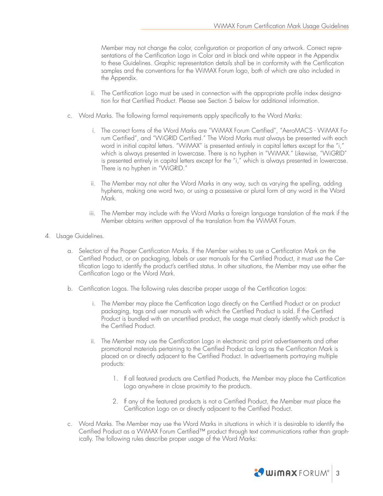Member may not change the color, configuration or proportion of any artwork. Correct representations of the Certification Logo in Color and in black and white appear in the Appendix to these Guidelines. Graphic representation details shall be in conformity with the Certification samples and the conventions for the WiMAX Forum logo, both of which are also included in the Appendix.

- ii. The Certification Logo must be used in connection with the appropriate profile index designation for that Certified Product. Please see Section 5 below for additional information.
- c. Word Marks. The following formal requirements apply specifically to the Word Marks:
	- i. The correct forms of the Word Marks are "WiMAX Forum Certified", "AeroMACS WiMAX Forum Certified", and "WiGRID Certified." The Word Marks must always be presented with each word in initial capital letters. "WiMAX" is presented entirely in capital letters except for the "i," which is always presented in lowercase. There is no hyphen in "WiMAX." Likewise, "WiGRID" is presented entirely in capital letters except for the "i," which is always presented in lowercase. There is no hyphen in "WiGRID."
	- ii. The Member may not alter the Word Marks in any way, such as varying the spelling, adding hyphens, making one word two, or using a possessive or plural form of any word in the Word Mark.
	- iii. The Member may include with the Word Marks a foreign language translation of the mark if the Member obtains written approval of the translation from the WiMAX Forum.
- 4. Usage Guidelines.
	- a. Selection of the Proper Certification Marks. If the Member wishes to use a Certification Mark on the Certified Product, or on packaging, labels or user manuals for the Certified Product, it must use the Certification Logo to identify the product's certified status. In other situations, the Member may use either the Certification Logo or the Word Mark.
	- b. Certification Logos. The following rules describe proper usage of the Certification Logos:
		- i. The Member may place the Certification Logo directly on the Certified Product or on product packaging, tags and user manuals with which the Certified Product is sold. If the Certified Product is bundled with an uncertified product, the usage must clearly identify which product is the Certified Product.
		- ii. The Member may use the Certification Logo in electronic and print advertisements and other promotional materials pertaining to the Certified Product as long as the Certification Mark is placed on or directly adjacent to the Certified Product. In advertisements portraying multiple products:
			- 1. If all featured products are Certified Products, the Member may place the Certification Logo anywhere in close proximity to the products.
			- 2. If any of the featured products is not a Certified Product, the Member must place the Certification Logo on or directly adjacent to the Certified Product.
	- c. Word Marks. The Member may use the Word Marks in situations in which it is desirable to identify the Certified Product as a WiMAX Forum Certified™ product through text communications rather than graphically. The following rules describe proper usage of the Word Marks:

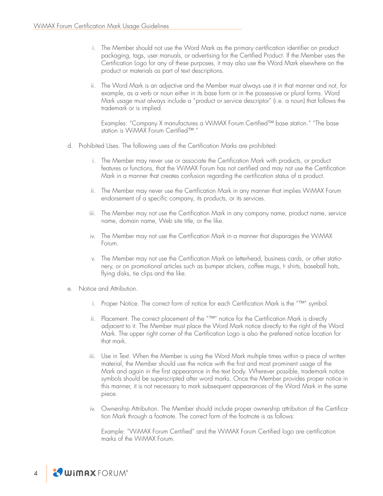- i. The Member should not use the Word Mark as the primary certification identifier on product packaging, tags, user manuals, or advertising for the Certified Product. If the Member uses the Certification Logo for any of these purposes, it may also use the Word Mark elsewhere on the product or materials as part of text descriptions.
- ii. The Word Mark is an adjective and the Member must always use it in that manner and not, for example, as a verb or noun either in its base form or in the possessive or plural forms. Word Mark usage must always include a "product or service descriptor" (i.e. a noun) that follows the trademark or is implied.

Examples: "Company X manufactures a WiMAX Forum Certified™ base station." "The base station is WiMAX Forum Certified™."

- d. Prohibited Uses. The following uses of the Certification Marks are prohibited:
	- i. The Member may never use or associate the Certification Mark with products, or product features or functions, that the WiMAX Forum has not certified and may not use the Certification Mark in a manner that creates confusion regarding the certification status of a product.
	- ii. The Member may never use the Certification Mark in any manner that implies WiMAX Forum endorsement of a specific company, its products, or its services.
	- iii. The Member may not use the Certification Mark in any company name, product name, service name, domain name, Web site title, or the like.
	- iv. The Member may not use the Certification Mark in a manner that disparages the WiMAX Forum.
	- v. The Member may not use the Certification Mark on letterhead, business cards, or other stationery, or on promotional articles such as bumper stickers, coffee mugs, t- shirts, baseball hats, flying disks, tie clips and the like.
- e. Notice and Attribution.
	- i. Proper Notice. The correct form of notice for each Certification Mark is the "™" symbol.
	- ii. Placement. The correct placement of the "™" notice for the Certification Mark is directly adjacent to it. The Member must place the Word Mark notice directly to the right of the Word Mark. The upper right corner of the Certification Logo is also the preferred notice location for that mark.
	- iii. Use in Text. When the Member is using the Word Mark multiple times within a piece of written material, the Member should use the notice with the first and most prominent usage of the Mark and again in the first appearance in the text body. Wherever possible, trademark notice symbols should be superscripted after word marks. Once the Member provides proper notice in this manner, it is not necessary to mark subsequent appearances of the Word Mark in the same piece.
	- iv. Ownership Attribution. The Member should include proper ownership attribution of the Certification Mark through a footnote. The correct form of the footnote is as follows:

Example: "WiMAX Forum Certified" and the WiMAX Forum Certified logo are certification marks of the WiMAX Forum.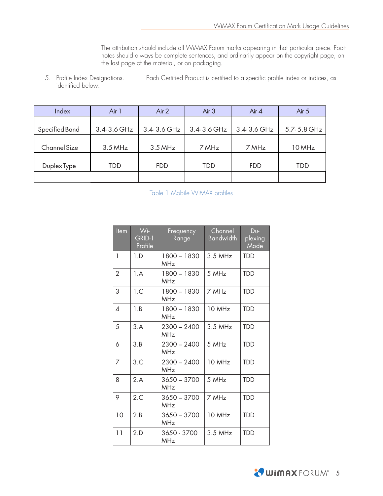The attribution should include all WiMAX Forum marks appearing in that particular piece. Footnotes should always be complete sentences, and ordinarily appear on the copyright page, on the last page of the material, or on packaging.

5. Profile Index Designations. Each Certified Product is certified to a specific profile index or indices, as identified below:

| Index          | Air 1       | Air 2           | Air 3           | Air 4       | Air 5       |
|----------------|-------------|-----------------|-----------------|-------------|-------------|
| Specified Band | 3.4-3.6 GHz | $3.4 - 3.6$ GHz | $3.4 - 3.6$ GHz | 3.4-3.6 GHz | 5.7-5.8 GHz |
|                |             |                 |                 |             |             |
| Channel Size   | $3.5$ MHz   | $3.5$ MHz       | 7 MHz           | 7 MHz       | 10 MHz      |
| Duplex Type    | TDD         | <b>FDD</b>      | TDD             | <b>FDD</b>  | TDD         |
|                |             |                 |                 |             |             |

Table 1 Mobile WiMAX profiles

| $l$ <sub>tem</sub> | $W$ i-<br>GRID-1<br>Profile | Frequency<br>Range               | Channel<br><b>Bandwidth</b> | Du-<br>plexing<br>Mode |
|--------------------|-----------------------------|----------------------------------|-----------------------------|------------------------|
| $\mathbf{1}$       | 1.D                         | 1800 - 1830<br>MH <sub>7</sub>   | $3.5$ MHz                   | <b>TDD</b>             |
| $\overline{2}$     | 1.A                         | 1800 - 1830<br>MH <sub>7</sub>   | 5 MHz                       | <b>TDD</b>             |
| 3                  | 1.C                         | 1800 - 1830<br>MHz               | 7 MHz                       | <b>TDD</b>             |
| $\overline{4}$     | 1.B                         | 1800 - 1830<br>MHz               | 10 MHz                      | <b>TDD</b>             |
| 5                  | 3.A                         | $2300 - 2400$<br>MH <sub>7</sub> | $3.5$ MHz                   | <b>TDD</b>             |
| 6                  | 3.B                         | $2300 - 2400$<br>MHz             | 5 MHz                       | <b>TDD</b>             |
| $\overline{7}$     | 3.C                         | $2300 - 2400$<br>MHz             | 10 MHz                      | <b>TDD</b>             |
| 8                  | 2.A                         | $3650 - 3700$<br>MHz             | 5 MHz                       | <b>TDD</b>             |
| 9                  | 2.C                         | 3650 - 3700<br>MHz               | 7 MHz                       | <b>TDD</b>             |
| 10                 | 2.B                         | $3650 - 3700$<br>MHz             | 10 MHz                      | <b>TDD</b>             |
| 11                 | 2.D                         | 3650 - 3700<br>MHz               | 3.5 MHz                     | <b>TDD</b>             |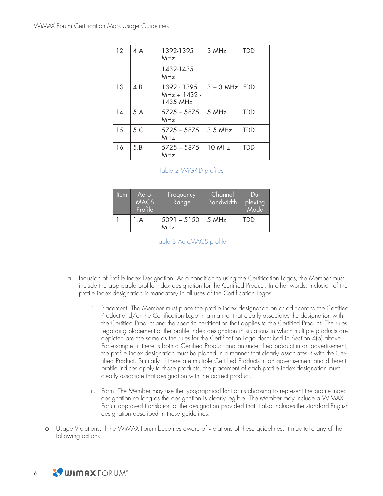| 12 | 4 A | 1392-1395<br>MH <sub>7</sub>            | 3 MHz             | TDD        |
|----|-----|-----------------------------------------|-------------------|------------|
|    |     | 1432-1435<br>MHz                        |                   |            |
| 13 | 4.B | 1392 - 1395<br>MHz + 1432 -<br>1435 MHz | $3 + 3$ MHz   FDD |            |
| 14 | 5.A | $5725 - 5875$<br>MHz                    | 5 MHz             | <b>TDD</b> |
| 15 | 5.C | $5725 - 5875$<br><b>MHz</b>             | $3.5$ MHz         | <b>TDD</b> |
| 16 | 5.B | $5725 - 5875$<br>MHz                    | 10 MHz            | <b>TDD</b> |

Table 2 WiGRID profiles

| <b>Item</b> | Aero-<br><b>MACS</b><br>Profile | <b>Frequency</b><br>Range   | 'Channel,<br>Bandwidth | Du-<br>plexing<br>Mode |
|-------------|---------------------------------|-----------------------------|------------------------|------------------------|
|             | .A                              | $5091 - 5150$<br><b>MHz</b> | $\frac{5}{2}$ MHz      | TDD                    |

|  |  |  |  | Table 3 AeroMACS profile |
|--|--|--|--|--------------------------|
|--|--|--|--|--------------------------|

- a. Inclusion of Profile Index Designation. As a condition to using the Certification Logos, the Member must include the applicable profile index designation for the Certified Product. In other words, inclusion of the profile index designation is mandatory in all uses of the Certification Logos.
	- i. Placement. The Member must place the profile index designation on or adjacent to the Certified Product and/or the Certification Logo in a manner that clearly associates the designation with the Certified Product and the specific certification that applies to the Certified Product. The rules regarding placement of the profile index designation in situations in which multiple products are depicted are the same as the rules for the Certification Logo described in Section 4(b) above. For example, if there is both a Certified Product and an uncertified product in an advertisement, the profile index designation must be placed in a manner that clearly associates it with the Certified Product. Similarly, if there are multiple Certified Products in an advertisement and different profile indices apply to those products, the placement of each profile index designation must clearly associate that designation with the correct product.
	- ii. Form. The Member may use the typographical font of its choosing to represent the profile index designation so long as the designation is clearly legible. The Member may include a WiMAX Forum-approved translation of the designation provided that it also includes the standard English designation described in these guidelines.
- 6. Usage Violations. If the WiMAX Forum becomes aware of violations of these guidelines, it may take any of the following actions: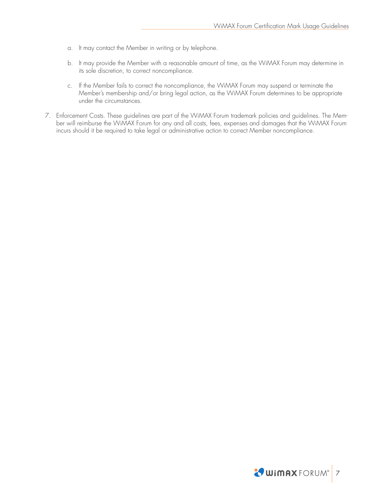- a. It may contact the Member in writing or by telephone.
- b. It may provide the Member with a reasonable amount of time, as the WiMAX Forum may determine in its sole discretion, to correct noncompliance.
- c. If the Member fails to correct the noncompliance, the WiMAX Forum may suspend or terminate the Member's membership and/or bring legal action, as the WiMAX Forum determines to be appropriate under the circumstances.
- 7. Enforcement Costs. These guidelines are part of the WiMAX Forum trademark policies and guidelines. The Member will reimburse the WiMAX Forum for any and all costs, fees, expenses and damages that the WiMAX Forum incurs should it be required to take legal or administrative action to correct Member noncompliance.

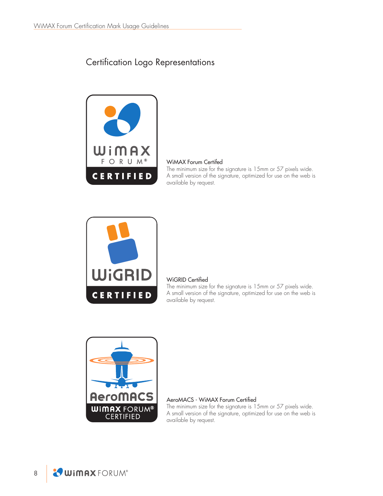# Certification Logo Representations



#### WiMAX Forum Certifed

The minimum size for the signature is 15mm or 57 pixels wide. A small version of the signature, optimized for use on the web is available by request.



#### WiGRID Certified

The minimum size for the signature is 15mm or 57 pixels wide. A small version of the signature, optimized for use on the web is available by request.



#### AeroMACS - WiMAX Forum Certified

The minimum size for the signature is 15mm or 57 pixels wide. A small version of the signature, optimized for use on the web is available by request.

8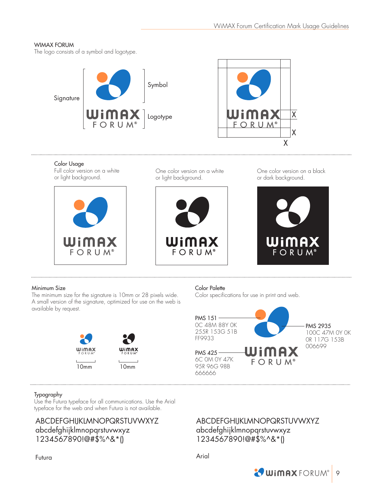#### WIMAX FORUM

The logo consists of a symbol and logotype.





# Color Usage

Full color version on a white or light background.



One color version on a white or light background.



One color version on a black or dark background.



#### Minimum Size

......................

The minimum size for the signature is 10mm or 28 pixels wide. A small version of the signature, optimized for use on the web is available by request.



# Color Palette

Color specifications for use in print and web.



# Typography

Use the Futura typeface for all communications. Use the Arial typeface for the web and when Futura is not available.

ABCDEFGHIJKLMNOPQRSTUVWXYZ abcdefghijklmnopqrstuvwxyz 1234567890!@#\$%^&\*()

# ABCDEFGHIJKLMNOPQRSTUVWXYZ abcdefghijklmnopqrstuvwxyz 1234567890!@#\$%^&\*()

Futura

Arial

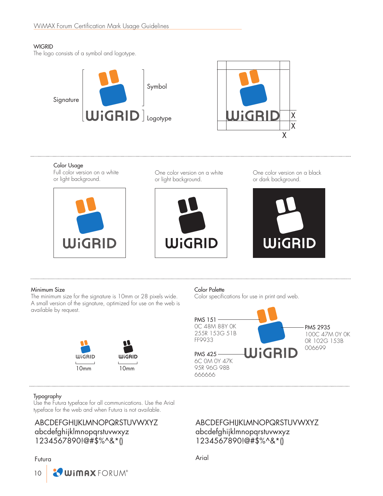#### **WIGRID**

The logo consists of a symbol and logotype.





#### Color Usage

Full color version on a white or light background.



One color version on a white or light background.



One color version on a black or dark background.



#### Minimum Size

The minimum size for the signature is 10mm or 28 pixels wide. A small version of the signature, optimized for use on the web is available by request.



#### Color Palette

Color specifications for use in print and web.



# Typography

Use the Futura typeface for all communications. Use the Arial typeface for the web and when Futura is not available.

ABCDEFGHIJKLMNOPQRSTUVWXYZ abcdefghijklmnopqrstuvwxyz 1234567890!@#\$%^&\*()



abcdefghijklmnopqrstuvwxyz 1234567890!@#\$%^&\*()

ABCDEFGHIJKLMNOPQRSTUVWXYZ

Arial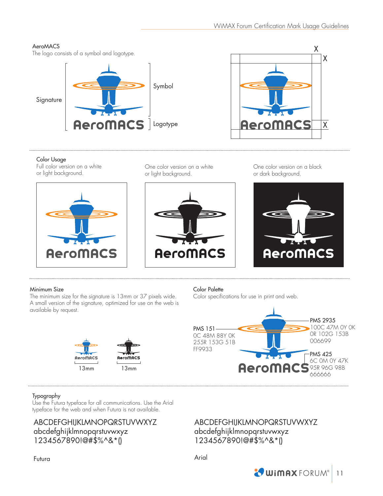# **AeroMACS**

The logo consists of a symbol and logotype.





#### Color Usage

Full color version on a white or light background.



One color version on a white or light background.



One color version on a black or dark background.



# Minimum Size

The minimum size for the signature is 13mm or 37 pixels wide. A small version of the signature, optimized for use on the web is available by request.



# Color Palette

Color specifications for use in print and web.



# Typography

Use the Futura typeface for all communications. Use the Arial typeface for the web and when Futura is not available.

ABCDEFGHIJKLMNOPQRSTUVWXYZ abcdefghijklmnopqrstuvwxyz 1234567890!@#\$%^&\*()

ABCDEFGHIJKLMNOPQRSTUVWXYZ abcdefghijklmnopqrstuvwxyz 1234567890!@#\$%^&\*()

Futura

Arial

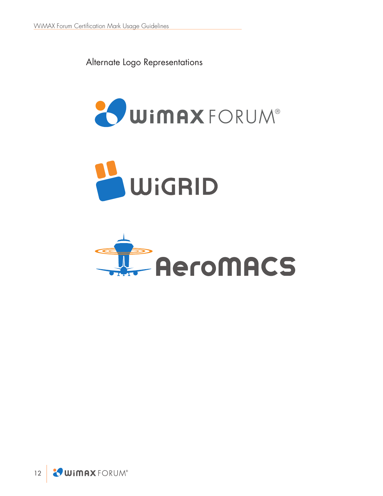Alternate Logo Representations







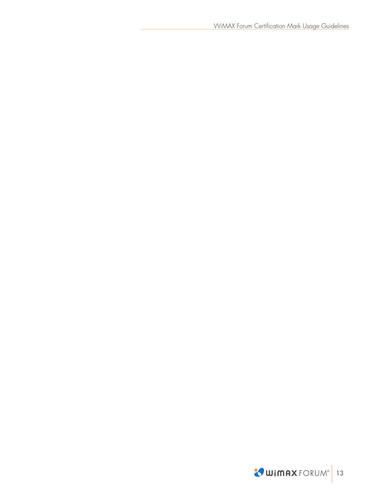